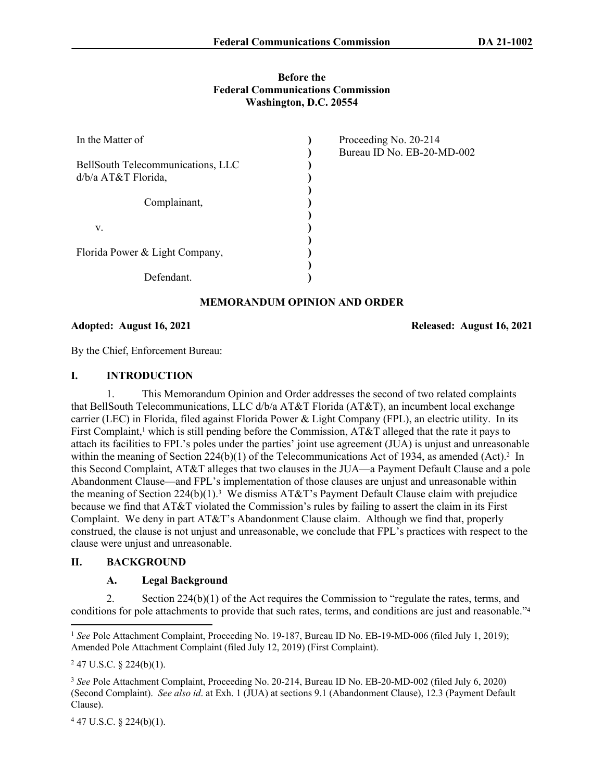### **Before the Federal Communications Commission Washington, D.C. 20554**

| In the Matter of                  | Proceeding No. 20-214      |
|-----------------------------------|----------------------------|
|                                   | Bureau ID No. EB-20-MD-002 |
| BellSouth Telecommunications, LLC |                            |
| $d/b/a$ AT&T Florida,             |                            |
|                                   |                            |
| Complainant,                      |                            |
|                                   |                            |
| V.                                |                            |
| Florida Power & Light Company,    |                            |
| Defendant.                        |                            |
|                                   |                            |

# **MEMORANDUM OPINION AND ORDER**

**Adopted: August 16, 2021 Released: August 16, 2021**

By the Chief, Enforcement Bureau:

### **I. INTRODUCTION**

1. This Memorandum Opinion and Order addresses the second of two related complaints that BellSouth Telecommunications, LLC d/b/a AT&T Florida (AT&T), an incumbent local exchange carrier (LEC) in Florida, filed against Florida Power & Light Company (FPL), an electric utility. In its First Complaint,<sup>1</sup> which is still pending before the Commission, AT&T alleged that the rate it pays to attach its facilities to FPL's poles under the parties' joint use agreement (JUA) is unjust and unreasonable within the meaning of Section  $224(b)(1)$  of the Telecommunications Act of 1934, as amended (Act).<sup>2</sup> In this Second Complaint, AT&T alleges that two clauses in the JUA—a Payment Default Clause and a pole Abandonment Clause—and FPL's implementation of those clauses are unjust and unreasonable within the meaning of Section  $224(b)(1)$ .<sup>3</sup> We dismiss AT&T's Payment Default Clause claim with prejudice because we find that AT&T violated the Commission's rules by failing to assert the claim in its First Complaint. We deny in part AT&T's Abandonment Clause claim. Although we find that, properly construed, the clause is not unjust and unreasonable, we conclude that FPL's practices with respect to the clause were unjust and unreasonable.

# **II. BACKGROUND**

# **A. Legal Background**

2. Section 224(b)(1) of the Act requires the Commission to "regulate the rates, terms, and conditions for pole attachments to provide that such rates, terms, and conditions are just and reasonable."<sup>4</sup>

 $447$  U.S.C. § 224(b)(1).

<sup>&</sup>lt;sup>1</sup> See Pole Attachment Complaint, Proceeding No. 19-187, Bureau ID No. EB-19-MD-006 (filed July 1, 2019); Amended Pole Attachment Complaint (filed July 12, 2019) (First Complaint).

 $247$  U.S.C. § 224(b)(1).

<sup>3</sup> *See* Pole Attachment Complaint, Proceeding No. 20-214, Bureau ID No. EB-20-MD-002 (filed July 6, 2020) (Second Complaint). *See also id*. at Exh. 1 (JUA) at sections 9.1 (Abandonment Clause), 12.3 (Payment Default Clause).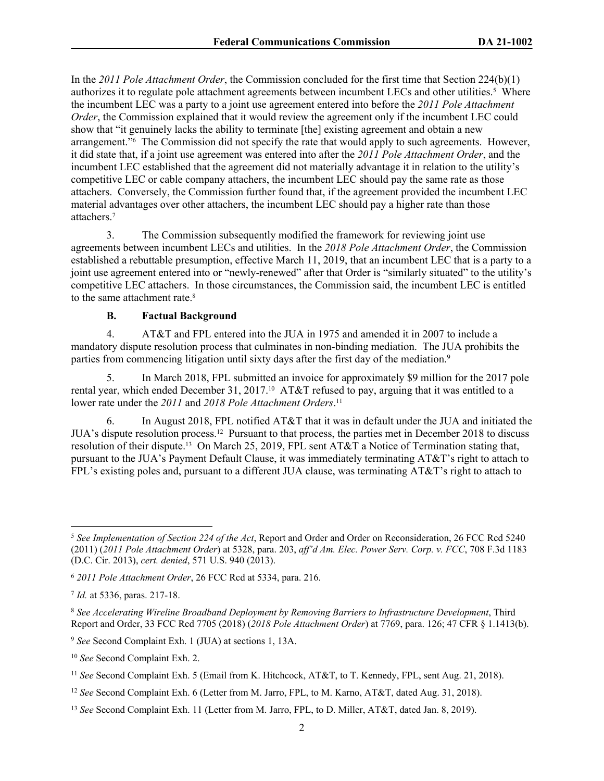In the *2011 Pole Attachment Order*, the Commission concluded for the first time that Section 224(b)(1) authorizes it to regulate pole attachment agreements between incumbent LECs and other utilities.<sup>5</sup> Where the incumbent LEC was a party to a joint use agreement entered into before the *2011 Pole Attachment Order*, the Commission explained that it would review the agreement only if the incumbent LEC could show that "it genuinely lacks the ability to terminate [the] existing agreement and obtain a new arrangement."<sup>6</sup> The Commission did not specify the rate that would apply to such agreements. However, it did state that, if a joint use agreement was entered into after the *2011 Pole Attachment Order*, and the incumbent LEC established that the agreement did not materially advantage it in relation to the utility's competitive LEC or cable company attachers, the incumbent LEC should pay the same rate as those attachers. Conversely, the Commission further found that, if the agreement provided the incumbent LEC material advantages over other attachers, the incumbent LEC should pay a higher rate than those attachers.<sup>7</sup>

3. The Commission subsequently modified the framework for reviewing joint use agreements between incumbent LECs and utilities. In the *2018 Pole Attachment Order*, the Commission established a rebuttable presumption, effective March 11, 2019, that an incumbent LEC that is a party to a joint use agreement entered into or "newly-renewed" after that Order is "similarly situated" to the utility's competitive LEC attachers. In those circumstances, the Commission said, the incumbent LEC is entitled to the same attachment rate.<sup>8</sup>

# **B. Factual Background**

4. AT&T and FPL entered into the JUA in 1975 and amended it in 2007 to include a mandatory dispute resolution process that culminates in non-binding mediation. The JUA prohibits the parties from commencing litigation until sixty days after the first day of the mediation.<sup>9</sup>

5. In March 2018, FPL submitted an invoice for approximately \$9 million for the 2017 pole rental year, which ended December 31, 2017.<sup>10</sup> AT&T refused to pay, arguing that it was entitled to a lower rate under the *2011* and *2018 Pole Attachment Orders*. 11

6. In August 2018, FPL notified AT&T that it was in default under the JUA and initiated the JUA's dispute resolution process.12 Pursuant to that process, the parties met in December 2018 to discuss resolution of their dispute.13 On March 25, 2019, FPL sent AT&T a Notice of Termination stating that, pursuant to the JUA's Payment Default Clause, it was immediately terminating AT&T's right to attach to FPL's existing poles and, pursuant to a different JUA clause, was terminating AT&T's right to attach to

<sup>5</sup> *See Implementation of Section 224 of the Act*, Report and Order and Order on Reconsideration, 26 FCC Rcd 5240 (2011) (*2011 Pole Attachment Order*) at 5328, para. 203, *aff'd Am. Elec. Power Serv. Corp. v. FCC*, 708 F.3d 1183 (D.C. Cir. 2013), *cert. denied*, 571 U.S. 940 (2013).

<sup>6</sup> *2011 Pole Attachment Order*, 26 FCC Rcd at 5334, para. 216.

<sup>7</sup> *Id.* at 5336, paras. 217-18.

<sup>8</sup> *See Accelerating Wireline Broadband Deployment by Removing Barriers to Infrastructure Development*, Third Report and Order, 33 FCC Rcd 7705 (2018) (*2018 Pole Attachment Order*) at 7769, para. 126; 47 CFR § 1.1413(b).

<sup>9</sup> *See* Second Complaint Exh. 1 (JUA) at sections 1, 13A.

<sup>10</sup> *See* Second Complaint Exh. 2.

<sup>11</sup> *See* Second Complaint Exh. 5 (Email from K. Hitchcock, AT&T, to T. Kennedy, FPL, sent Aug. 21, 2018).

<sup>12</sup> *See* Second Complaint Exh. 6 (Letter from M. Jarro, FPL, to M. Karno, AT&T, dated Aug. 31, 2018).

<sup>13</sup> *See* Second Complaint Exh. 11 (Letter from M. Jarro, FPL, to D. Miller, AT&T, dated Jan. 8, 2019).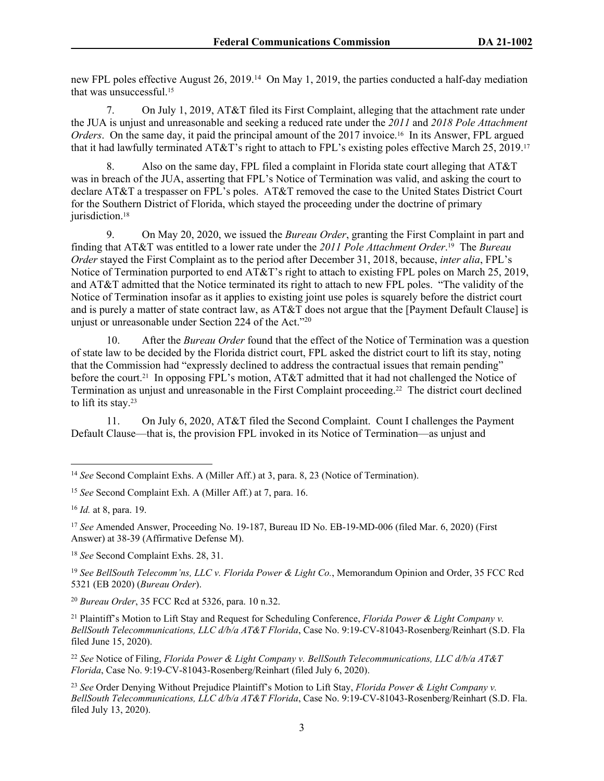new FPL poles effective August 26, 2019.<sup>14</sup> On May 1, 2019, the parties conducted a half-day mediation that was unsuccessful.<sup>15</sup>

7. On July 1, 2019, AT&T filed its First Complaint, alleging that the attachment rate under the JUA is unjust and unreasonable and seeking a reduced rate under the *2011* and *2018 Pole Attachment Orders*. On the same day, it paid the principal amount of the 2017 invoice.16 In its Answer, FPL argued that it had lawfully terminated AT&T's right to attach to FPL's existing poles effective March 25, 2019.<sup>17</sup>

8. Also on the same day, FPL filed a complaint in Florida state court alleging that AT&T was in breach of the JUA, asserting that FPL's Notice of Termination was valid, and asking the court to declare AT&T a trespasser on FPL's poles. AT&T removed the case to the United States District Court for the Southern District of Florida, which stayed the proceeding under the doctrine of primary jurisdiction.<sup>18</sup>

9. On May 20, 2020, we issued the *Bureau Order*, granting the First Complaint in part and finding that AT&T was entitled to a lower rate under the *2011 Pole Attachment Order*. <sup>19</sup> The *Bureau Order* stayed the First Complaint as to the period after December 31, 2018, because, *inter alia*, FPL's Notice of Termination purported to end AT&T's right to attach to existing FPL poles on March 25, 2019, and AT&T admitted that the Notice terminated its right to attach to new FPL poles. "The validity of the Notice of Termination insofar as it applies to existing joint use poles is squarely before the district court and is purely a matter of state contract law, as AT&T does not argue that the [Payment Default Clause] is unjust or unreasonable under Section 224 of the Act."<sup>20</sup>

10. After the *Bureau Order* found that the effect of the Notice of Termination was a question of state law to be decided by the Florida district court, FPL asked the district court to lift its stay, noting that the Commission had "expressly declined to address the contractual issues that remain pending" before the court.21 In opposing FPL's motion, AT&T admitted that it had not challenged the Notice of Termination as unjust and unreasonable in the First Complaint proceeding.22 The district court declined to lift its stay.<sup>23</sup>

11. On July 6, 2020, AT&T filed the Second Complaint. Count I challenges the Payment Default Clause—that is, the provision FPL invoked in its Notice of Termination—as unjust and

<sup>18</sup> *See* Second Complaint Exhs. 28, 31.

<sup>19</sup> *See BellSouth Telecomm'ns, LLC v. Florida Power & Light Co.*, Memorandum Opinion and Order, 35 FCC Rcd 5321 (EB 2020) (*Bureau Order*).

<sup>20</sup> *Bureau Order*, 35 FCC Rcd at 5326, para. 10 n.32.

<sup>21</sup> Plaintiff's Motion to Lift Stay and Request for Scheduling Conference, *Florida Power & Light Company v. BellSouth Telecommunications, LLC d/b/a AT&T Florida*, Case No. 9:19-CV-81043-Rosenberg/Reinhart (S.D. Fla filed June 15, 2020).

<sup>22</sup> *See* Notice of Filing, *Florida Power & Light Company v. BellSouth Telecommunications, LLC d/b/a AT&T Florida*, Case No. 9:19-CV-81043-Rosenberg/Reinhart (filed July 6, 2020).

<sup>23</sup> *See* Order Denying Without Prejudice Plaintiff's Motion to Lift Stay, *Florida Power & Light Company v. BellSouth Telecommunications, LLC d/b/a AT&T Florida*, Case No. 9:19-CV-81043-Rosenberg/Reinhart (S.D. Fla. filed July 13, 2020).

<sup>14</sup> *See* Second Complaint Exhs. A (Miller Aff.) at 3, para. 8, 23 (Notice of Termination).

<sup>15</sup> *See* Second Complaint Exh. A (Miller Aff.) at 7, para. 16.

<sup>16</sup> *Id.* at 8, para. 19.

<sup>17</sup> *See* Amended Answer, Proceeding No. 19-187, Bureau ID No. EB-19-MD-006 (filed Mar. 6, 2020) (First Answer) at 38-39 (Affirmative Defense M).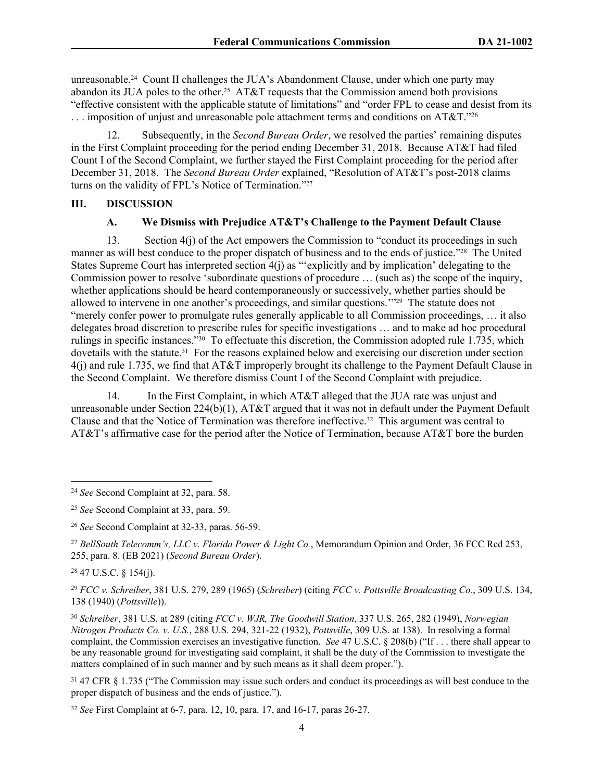unreasonable.24 Count II challenges the JUA's Abandonment Clause, under which one party may abandon its JUA poles to the other.<sup>25</sup> AT&T requests that the Commission amend both provisions "effective consistent with the applicable statute of limitations" and "order FPL to cease and desist from its ... imposition of unjust and unreasonable pole attachment terms and conditions on AT&T."26

12. Subsequently, in the *Second Bureau Order*, we resolved the parties' remaining disputes in the First Complaint proceeding for the period ending December 31, 2018. Because AT&T had filed Count I of the Second Complaint, we further stayed the First Complaint proceeding for the period after December 31, 2018. The *Second Bureau Order* explained, "Resolution of AT&T's post-2018 claims turns on the validity of FPL's Notice of Termination."<sup>27</sup>

### **III. DISCUSSION**

# **A. We Dismiss with Prejudice AT&T's Challenge to the Payment Default Clause**

13. Section 4(j) of the Act empowers the Commission to "conduct its proceedings in such manner as will best conduce to the proper dispatch of business and to the ends of justice."28 The United States Supreme Court has interpreted section 4(j) as "'explicitly and by implication' delegating to the Commission power to resolve 'subordinate questions of procedure … (such as) the scope of the inquiry, whether applications should be heard contemporaneously or successively, whether parties should be allowed to intervene in one another's proceedings, and similar questions.'"29 The statute does not "merely confer power to promulgate rules generally applicable to all Commission proceedings, … it also delegates broad discretion to prescribe rules for specific investigations … and to make ad hoc procedural rulings in specific instances."30 To effectuate this discretion, the Commission adopted rule 1.735, which dovetails with the statute.<sup>31</sup> For the reasons explained below and exercising our discretion under section 4(j) and rule 1.735, we find that AT&T improperly brought its challenge to the Payment Default Clause in the Second Complaint. We therefore dismiss Count I of the Second Complaint with prejudice.

14. In the First Complaint, in which AT&T alleged that the JUA rate was unjust and unreasonable under Section 224(b)(1), AT&T argued that it was not in default under the Payment Default Clause and that the Notice of Termination was therefore ineffective.32 This argument was central to AT&T's affirmative case for the period after the Notice of Termination, because AT&T bore the burden

<sup>27</sup> *BellSouth Telecomm's, LLC v. Florida Power & Light Co.*, Memorandum Opinion and Order, 36 FCC Rcd 253, 255, para. 8. (EB 2021) (*Second Bureau Order*).

 $28$  47 U.S.C. § 154(j).

<sup>29</sup> *FCC v. Schreiber*, 381 U.S. 279, 289 (1965) (*Schreiber*) (citing *FCC v. Pottsville Broadcasting Co.*, 309 U.S. 134, 138 (1940) (*Pottsville*)).

<sup>30</sup> *Schreiber*, 381 U.S. at 289 (citing *FCC v. WJR, The Goodwill Station*, 337 U.S. 265, 282 (1949), *Norwegian Nitrogen Products Co. v. U.S.*, 288 U.S. 294, 321-22 (1932), *Pottsville*, 309 U.S. at 138). In resolving a formal complaint, the Commission exercises an investigative function. *See* 47 U.S.C. § 208(b) ("If . . . there shall appear to be any reasonable ground for investigating said complaint, it shall be the duty of the Commission to investigate the matters complained of in such manner and by such means as it shall deem proper.").

<sup>31</sup> 47 CFR § 1.735 ("The Commission may issue such orders and conduct its proceedings as will best conduce to the proper dispatch of business and the ends of justice.").

<sup>32</sup> *See* First Complaint at 6-7, para. 12, 10, para. 17, and 16-17, paras 26-27.

<sup>24</sup> *See* Second Complaint at 32, para. 58.

<sup>25</sup> *See* Second Complaint at 33, para. 59.

<sup>26</sup> *See* Second Complaint at 32-33, paras. 56-59.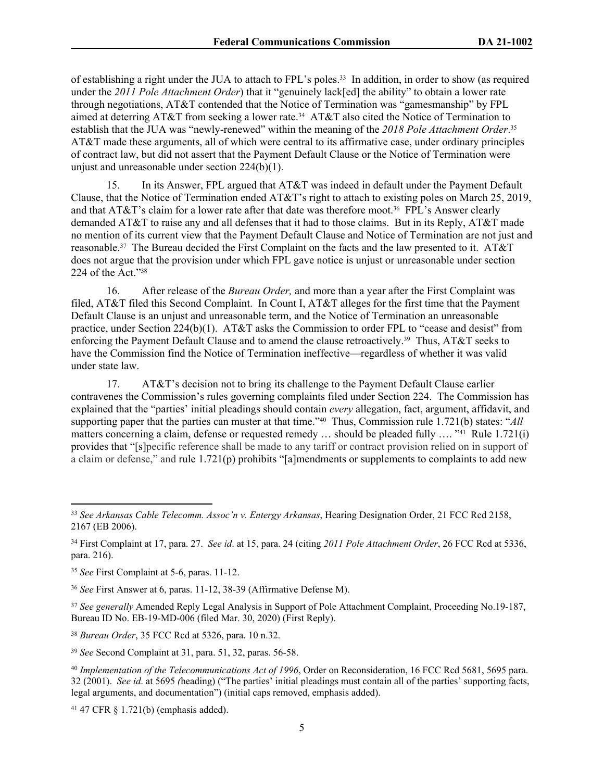of establishing a right under the JUA to attach to FPL's poles.33 In addition, in order to show (as required under the *2011 Pole Attachment Order*) that it "genuinely lack[ed] the ability" to obtain a lower rate through negotiations, AT&T contended that the Notice of Termination was "gamesmanship" by FPL aimed at deterring AT&T from seeking a lower rate.34 AT&T also cited the Notice of Termination to establish that the JUA was "newly-renewed" within the meaning of the *2018 Pole Attachment Order*. 35 AT&T made these arguments, all of which were central to its affirmative case, under ordinary principles of contract law, but did not assert that the Payment Default Clause or the Notice of Termination were unjust and unreasonable under section 224(b)(1).

15. In its Answer, FPL argued that AT&T was indeed in default under the Payment Default Clause, that the Notice of Termination ended AT&T's right to attach to existing poles on March 25, 2019, and that AT&T's claim for a lower rate after that date was therefore moot.36 FPL's Answer clearly demanded AT&T to raise any and all defenses that it had to those claims. But in its Reply, AT&T made no mention of its current view that the Payment Default Clause and Notice of Termination are not just and reasonable.37 The Bureau decided the First Complaint on the facts and the law presented to it. AT&T does not argue that the provision under which FPL gave notice is unjust or unreasonable under section 224 of the Act."<sup>38</sup>

16. After release of the *Bureau Order,* and more than a year after the First Complaint was filed, AT&T filed this Second Complaint. In Count I, AT&T alleges for the first time that the Payment Default Clause is an unjust and unreasonable term, and the Notice of Termination an unreasonable practice, under Section 224(b)(1). AT&T asks the Commission to order FPL to "cease and desist" from enforcing the Payment Default Clause and to amend the clause retroactively.39 Thus, AT&T seeks to have the Commission find the Notice of Termination ineffective—regardless of whether it was valid under state law.

17. AT&T's decision not to bring its challenge to the Payment Default Clause earlier contravenes the Commission's rules governing complaints filed under Section 224. The Commission has explained that the "parties' initial pleadings should contain *every* allegation, fact, argument, affidavit, and supporting paper that the parties can muster at that time."40 Thus, Commission rule 1.721(b) states: "*All* matters concerning a claim, defense or requested remedy ... should be pleaded fully .... "<sup>41</sup> Rule 1.721(i) provides that "[s]pecific reference shall be made to any tariff or contract provision relied on in support of a claim or defense," and rule 1.721(p) prohibits "[a]mendments or supplements to complaints to add new

<sup>36</sup> *See* First Answer at 6, paras. 11-12, 38-39 (Affirmative Defense M).

<sup>37</sup> *See generally* Amended Reply Legal Analysis in Support of Pole Attachment Complaint, Proceeding No.19-187, Bureau ID No. EB-19-MD-006 (filed Mar. 30, 2020) (First Reply).

<sup>38</sup> *Bureau Order*, 35 FCC Rcd at 5326, para. 10 n.32.

<sup>39</sup> *See* Second Complaint at 31, para. 51, 32, paras. 56-58.

41 47 CFR § 1.721(b) (emphasis added).

<sup>33</sup> *See Arkansas Cable Telecomm. Assoc'n v. Entergy Arkansas*, Hearing Designation Order, 21 FCC Rcd 2158, 2167 (EB 2006).

<sup>34</sup> First Complaint at 17, para. 27. *See id*. at 15, para. 24 (citing *2011 Pole Attachment Order*, 26 FCC Rcd at 5336, para. 216).

<sup>35</sup> *See* First Complaint at 5-6, paras. 11-12.

<sup>40</sup> *Implementation of the Telecommunications Act of 1996*, Order on Reconsideration, 16 FCC Rcd 5681, 5695 para. 32 (2001). *See id*. at 5695 *(*heading) ("The parties' initial pleadings must contain all of the parties' supporting facts, legal arguments, and documentation") (initial caps removed, emphasis added).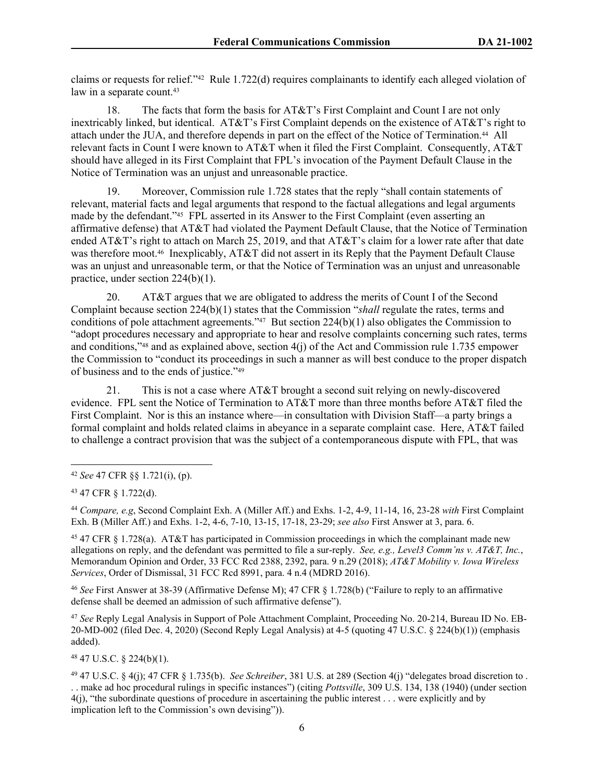claims or requests for relief."42 Rule 1.722(d) requires complainants to identify each alleged violation of law in a separate count.<sup>43</sup>

18. The facts that form the basis for AT&T's First Complaint and Count I are not only inextricably linked, but identical. AT&T's First Complaint depends on the existence of AT&T's right to attach under the JUA, and therefore depends in part on the effect of the Notice of Termination.44 All relevant facts in Count I were known to AT&T when it filed the First Complaint. Consequently, AT&T should have alleged in its First Complaint that FPL's invocation of the Payment Default Clause in the Notice of Termination was an unjust and unreasonable practice.

19. Moreover, Commission rule 1.728 states that the reply "shall contain statements of relevant, material facts and legal arguments that respond to the factual allegations and legal arguments made by the defendant."45 FPL asserted in its Answer to the First Complaint (even asserting an affirmative defense) that AT&T had violated the Payment Default Clause, that the Notice of Termination ended AT&T's right to attach on March 25, 2019, and that AT&T's claim for a lower rate after that date was therefore moot.<sup>46</sup> Inexplicably, AT&T did not assert in its Reply that the Payment Default Clause was an unjust and unreasonable term, or that the Notice of Termination was an unjust and unreasonable practice, under section 224(b)(1).

20. AT&T argues that we are obligated to address the merits of Count I of the Second Complaint because section 224(b)(1) states that the Commission "*shall* regulate the rates, terms and conditions of pole attachment agreements."47 But section 224(b)(1) also obligates the Commission to "adopt procedures necessary and appropriate to hear and resolve complaints concerning such rates, terms and conditions,"48 and as explained above, section 4(j) of the Act and Commission rule 1.735 empower the Commission to "conduct its proceedings in such a manner as will best conduce to the proper dispatch of business and to the ends of justice."<sup>49</sup>

21. This is not a case where AT&T brought a second suit relying on newly-discovered evidence. FPL sent the Notice of Termination to AT&T more than three months before AT&T filed the First Complaint. Nor is this an instance where—in consultation with Division Staff—a party brings a formal complaint and holds related claims in abeyance in a separate complaint case. Here, AT&T failed to challenge a contract provision that was the subject of a contemporaneous dispute with FPL, that was

<sup>44</sup> *Compare, e.g*, Second Complaint Exh. A (Miller Aff.) and Exhs. 1-2, 4-9, 11-14, 16, 23-28 *with* First Complaint Exh. B (Miller Aff.) and Exhs. 1-2, 4-6, 7-10, 13-15, 17-18, 23-29; *see also* First Answer at 3, para. 6.

<sup>45</sup> 47 CFR § 1.728(a). AT&T has participated in Commission proceedings in which the complainant made new allegations on reply, and the defendant was permitted to file a sur-reply. *See, e.g., Level3 Comm'ns v. AT&T, Inc.*, Memorandum Opinion and Order, 33 FCC Rcd 2388, 2392, para. 9 n.29 (2018); *AT&T Mobility v. Iowa Wireless Services*, Order of Dismissal, 31 FCC Rcd 8991, para. 4 n.4 (MDRD 2016).

<sup>46</sup> *See* First Answer at 38-39 (Affirmative Defense M); 47 CFR § 1.728(b) ("Failure to reply to an affirmative defense shall be deemed an admission of such affirmative defense").

<sup>47</sup> *See* Reply Legal Analysis in Support of Pole Attachment Complaint, Proceeding No. 20-214, Bureau ID No. EB-20-MD-002 (filed Dec. 4, 2020) (Second Reply Legal Analysis) at 4-5 (quoting 47 U.S.C. § 224(b)(1)) (emphasis added).

<sup>48</sup> 47 U.S.C. § 224(b)(1).

<sup>42</sup> *See* 47 CFR §§ 1.721(i), (p).

<sup>43</sup> 47 CFR § 1.722(d).

<sup>49</sup> 47 U.S.C. § 4(j); 47 CFR § 1.735(b). *See Schreiber*, 381 U.S. at 289 (Section 4(j) "delegates broad discretion to . . . make ad hoc procedural rulings in specific instances") (citing *Pottsville*, 309 U.S. 134, 138 (1940) (under section 4(j), "the subordinate questions of procedure in ascertaining the public interest . . . were explicitly and by implication left to the Commission's own devising")).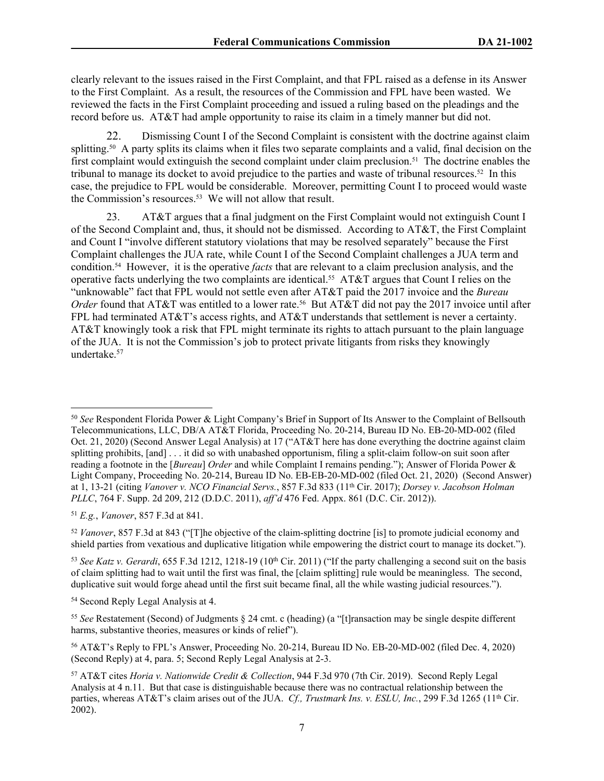clearly relevant to the issues raised in the First Complaint, and that FPL raised as a defense in its Answer to the First Complaint. As a result, the resources of the Commission and FPL have been wasted. We reviewed the facts in the First Complaint proceeding and issued a ruling based on the pleadings and the record before us. AT&T had ample opportunity to raise its claim in a timely manner but did not.

22. Dismissing Count I of the Second Complaint is consistent with the doctrine against claim splitting.50 A party splits its claims when it files two separate complaints and a valid, final decision on the first complaint would extinguish the second complaint under claim preclusion.<sup>51</sup> The doctrine enables the tribunal to manage its docket to avoid prejudice to the parties and waste of tribunal resources.<sup>52</sup> In this case, the prejudice to FPL would be considerable. Moreover, permitting Count I to proceed would waste the Commission's resources.<sup>53</sup> We will not allow that result.

23. AT&T argues that a final judgment on the First Complaint would not extinguish Count I of the Second Complaint and, thus, it should not be dismissed. According to AT&T, the First Complaint and Count I "involve different statutory violations that may be resolved separately" because the First Complaint challenges the JUA rate, while Count I of the Second Complaint challenges a JUA term and condition.54 However, it is the operative *facts* that are relevant to a claim preclusion analysis, and the operative facts underlying the two complaints are identical.55 AT&T argues that Count I relies on the "unknowable" fact that FPL would not settle even after AT&T paid the 2017 invoice and the *Bureau Order* found that AT&T was entitled to a lower rate.<sup>56</sup> But AT&T did not pay the 2017 invoice until after FPL had terminated AT&T's access rights, and AT&T understands that settlement is never a certainty. AT&T knowingly took a risk that FPL might terminate its rights to attach pursuant to the plain language of the JUA. It is not the Commission's job to protect private litigants from risks they knowingly undertake.<sup>57</sup>

<sup>51</sup> *E.g.*, *Vanover*, 857 F.3d at 841.

<sup>52</sup> *Vanover*, 857 F.3d at 843 ("[T]he objective of the claim-splitting doctrine [is] to promote judicial economy and shield parties from vexatious and duplicative litigation while empowering the district court to manage its docket.").

<sup>53</sup> See Katz v. Gerardi, 655 F.3d 1212, 1218-19 (10<sup>th</sup> Cir. 2011) ("If the party challenging a second suit on the basis of claim splitting had to wait until the first was final, the [claim splitting] rule would be meaningless. The second, duplicative suit would forge ahead until the first suit became final, all the while wasting judicial resources.").

<sup>50</sup> *See* Respondent Florida Power & Light Company's Brief in Support of Its Answer to the Complaint of Bellsouth Telecommunications, LLC, DB/A AT&T Florida, Proceeding No. 20-214, Bureau ID No. EB-20-MD-002 (filed Oct. 21, 2020) (Second Answer Legal Analysis) at 17 ("AT&T here has done everything the doctrine against claim splitting prohibits, [and] . . . it did so with unabashed opportunism, filing a split-claim follow-on suit soon after reading a footnote in the [*Bureau*] *Order* and while Complaint I remains pending."); Answer of Florida Power & Light Company, Proceeding No. 20-214, Bureau ID No. EB-EB-20-MD-002 (filed Oct. 21, 2020) (Second Answer) at 1, 13-21 (citing *Vanover v. NCO Financial Servs.*, 857 F.3d 833 (11th Cir. 2017); *Dorsey v. Jacobson Holman PLLC*, 764 F. Supp. 2d 209, 212 (D.D.C. 2011), *aff'd* 476 Fed. Appx. 861 (D.C. Cir. 2012)).

<sup>54</sup> Second Reply Legal Analysis at 4.

<sup>55</sup> *See* Restatement (Second) of Judgments § 24 cmt. c (heading) (a "[t]ransaction may be single despite different harms, substantive theories, measures or kinds of relief").

<sup>56</sup> AT&T's Reply to FPL's Answer, Proceeding No. 20-214, Bureau ID No. EB-20-MD-002 (filed Dec. 4, 2020) (Second Reply) at 4, para. 5; Second Reply Legal Analysis at 2-3.

<sup>57</sup> AT&T cites *Horia v. Nationwide Credit & Collection*, 944 F.3d 970 (7th Cir. 2019). Second Reply Legal Analysis at 4 n.11. But that case is distinguishable because there was no contractual relationship between the parties, whereas AT&T's claim arises out of the JUA. *Cf., Trustmark Ins. v. ESLU, Inc.*, 299 F.3d 1265 (11<sup>th</sup> Cir. 2002).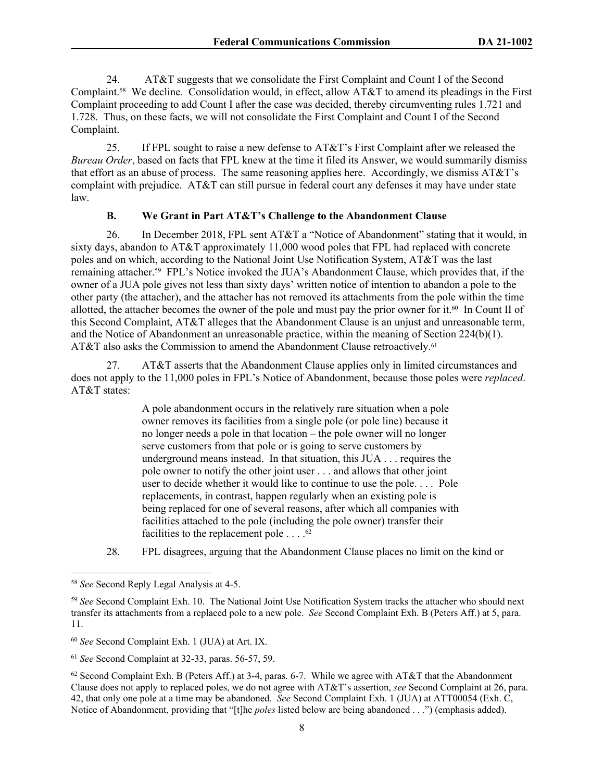24. AT&T suggests that we consolidate the First Complaint and Count I of the Second Complaint.58 We decline. Consolidation would, in effect, allow AT&T to amend its pleadings in the First Complaint proceeding to add Count I after the case was decided, thereby circumventing rules 1.721 and 1.728. Thus, on these facts, we will not consolidate the First Complaint and Count I of the Second Complaint.

25. If FPL sought to raise a new defense to AT&T's First Complaint after we released the *Bureau Order*, based on facts that FPL knew at the time it filed its Answer, we would summarily dismiss that effort as an abuse of process. The same reasoning applies here. Accordingly, we dismiss AT&T's complaint with prejudice. AT&T can still pursue in federal court any defenses it may have under state law.

#### **B. We Grant in Part AT&T's Challenge to the Abandonment Clause**

26. In December 2018, FPL sent AT&T a "Notice of Abandonment" stating that it would, in sixty days, abandon to AT&T approximately 11,000 wood poles that FPL had replaced with concrete poles and on which, according to the National Joint Use Notification System, AT&T was the last remaining attacher.59 FPL's Notice invoked the JUA's Abandonment Clause, which provides that, if the owner of a JUA pole gives not less than sixty days' written notice of intention to abandon a pole to the other party (the attacher), and the attacher has not removed its attachments from the pole within the time allotted, the attacher becomes the owner of the pole and must pay the prior owner for it.<sup>60</sup> In Count II of this Second Complaint, AT&T alleges that the Abandonment Clause is an unjust and unreasonable term, and the Notice of Abandonment an unreasonable practice, within the meaning of Section 224(b)(1). AT&T also asks the Commission to amend the Abandonment Clause retroactively.<sup>61</sup>

27. AT&T asserts that the Abandonment Clause applies only in limited circumstances and does not apply to the 11,000 poles in FPL's Notice of Abandonment, because those poles were *replaced*. AT&T states:

> A pole abandonment occurs in the relatively rare situation when a pole owner removes its facilities from a single pole (or pole line) because it no longer needs a pole in that location – the pole owner will no longer serve customers from that pole or is going to serve customers by underground means instead. In that situation, this JUA . . . requires the pole owner to notify the other joint user . . . and allows that other joint user to decide whether it would like to continue to use the pole. . . . Pole replacements, in contrast, happen regularly when an existing pole is being replaced for one of several reasons, after which all companies with facilities attached to the pole (including the pole owner) transfer their facilities to the replacement pole  $\dots$ .<sup>62</sup>

28. FPL disagrees, arguing that the Abandonment Clause places no limit on the kind or

<sup>58</sup> *See* Second Reply Legal Analysis at 4-5.

<sup>59</sup> *See* Second Complaint Exh. 10. The National Joint Use Notification System tracks the attacher who should next transfer its attachments from a replaced pole to a new pole. *See* Second Complaint Exh. B (Peters Aff.) at 5, para. 11.

<sup>60</sup> *See* Second Complaint Exh. 1 (JUA) at Art. IX.

<sup>61</sup> *See* Second Complaint at 32-33, paras. 56-57, 59.

 $62$  Second Complaint Exh. B (Peters Aff.) at 3-4, paras. 6-7. While we agree with AT&T that the Abandonment Clause does not apply to replaced poles, we do not agree with AT&T's assertion, *see* Second Complaint at 26, para. 42, that only one pole at a time may be abandoned. *See* Second Complaint Exh. 1 (JUA) at ATT00054 (Exh. C, Notice of Abandonment, providing that "[t]he *poles* listed below are being abandoned . . .") (emphasis added).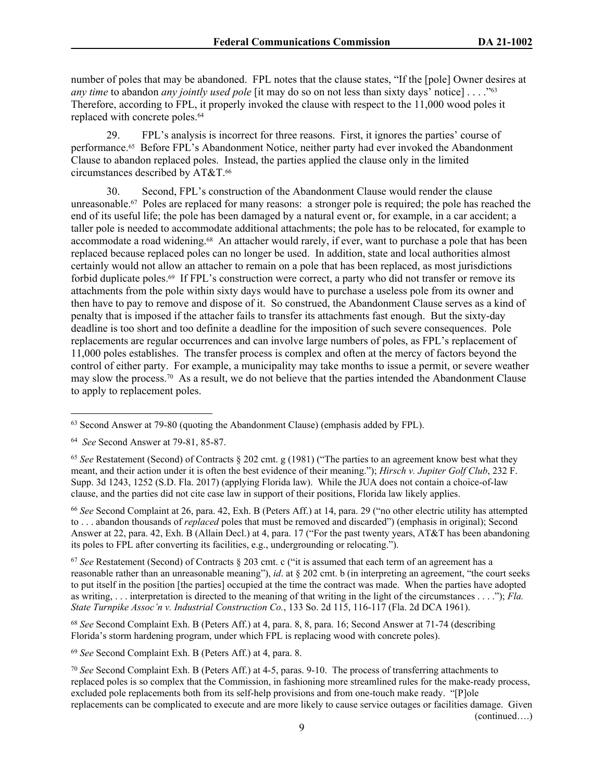number of poles that may be abandoned. FPL notes that the clause states, "If the [pole] Owner desires at *any time* to abandon *any jointly used pole* [it may do so on not less than sixty days' notice] . . . ."<sup>63</sup> Therefore, according to FPL, it properly invoked the clause with respect to the 11,000 wood poles it replaced with concrete poles.<sup>64</sup>

29. FPL's analysis is incorrect for three reasons. First, it ignores the parties' course of performance.65 Before FPL's Abandonment Notice, neither party had ever invoked the Abandonment Clause to abandon replaced poles. Instead, the parties applied the clause only in the limited circumstances described by AT&T.<sup>66</sup>

30. Second, FPL's construction of the Abandonment Clause would render the clause unreasonable.67 Poles are replaced for many reasons: a stronger pole is required; the pole has reached the end of its useful life; the pole has been damaged by a natural event or, for example, in a car accident; a taller pole is needed to accommodate additional attachments; the pole has to be relocated, for example to accommodate a road widening.68 An attacher would rarely, if ever, want to purchase a pole that has been replaced because replaced poles can no longer be used. In addition, state and local authorities almost certainly would not allow an attacher to remain on a pole that has been replaced, as most jurisdictions forbid duplicate poles.69 If FPL's construction were correct, a party who did not transfer or remove its attachments from the pole within sixty days would have to purchase a useless pole from its owner and then have to pay to remove and dispose of it. So construed, the Abandonment Clause serves as a kind of penalty that is imposed if the attacher fails to transfer its attachments fast enough. But the sixty-day deadline is too short and too definite a deadline for the imposition of such severe consequences. Pole replacements are regular occurrences and can involve large numbers of poles, as FPL's replacement of 11,000 poles establishes. The transfer process is complex and often at the mercy of factors beyond the control of either party. For example, a municipality may take months to issue a permit, or severe weather may slow the process.70 As a result, we do not believe that the parties intended the Abandonment Clause to apply to replacement poles.

<sup>66</sup> *See* Second Complaint at 26, para. 42, Exh. B (Peters Aff.) at 14, para. 29 ("no other electric utility has attempted to . . . abandon thousands of *replaced* poles that must be removed and discarded") (emphasis in original); Second Answer at 22, para. 42, Exh. B (Allain Decl.) at 4, para. 17 ("For the past twenty years, AT&T has been abandoning its poles to FPL after converting its facilities, e.g., undergrounding or relocating.").

<sup>67</sup> *See* Restatement (Second) of Contracts § 203 cmt. c ("it is assumed that each term of an agreement has a reasonable rather than an unreasonable meaning"), *id*. at § 202 cmt. b (in interpreting an agreement, "the court seeks to put itself in the position [the parties] occupied at the time the contract was made. When the parties have adopted as writing, . . . interpretation is directed to the meaning of that writing in the light of the circumstances . . . ."); *Fla. State Turnpike Assoc'n v. Industrial Construction Co.*, 133 So. 2d 115, 116-117 (Fla. 2d DCA 1961).

<sup>68</sup> *See* Second Complaint Exh. B (Peters Aff.) at 4, para. 8, 8, para. 16; Second Answer at 71-74 (describing Florida's storm hardening program, under which FPL is replacing wood with concrete poles).

<sup>69</sup> *See* Second Complaint Exh. B (Peters Aff.) at 4, para. 8.

<sup>63</sup> Second Answer at 79-80 (quoting the Abandonment Clause) (emphasis added by FPL).

<sup>64</sup> *See* Second Answer at 79-81, 85-87.

<sup>65</sup> *See* Restatement (Second) of Contracts § 202 cmt. g (1981) ("The parties to an agreement know best what they meant, and their action under it is often the best evidence of their meaning."); *Hirsch v. Jupiter Golf Club*, 232 F. Supp. 3d 1243, 1252 (S.D. Fla. 2017) (applying Florida law). While the JUA does not contain a choice-of-law clause, and the parties did not cite case law in support of their positions, Florida law likely applies.

<sup>70</sup> *See* Second Complaint Exh. B (Peters Aff.) at 4-5, paras. 9-10. The process of transferring attachments to replaced poles is so complex that the Commission, in fashioning more streamlined rules for the make-ready process, excluded pole replacements both from its self-help provisions and from one-touch make ready. "[P]ole replacements can be complicated to execute and are more likely to cause service outages or facilities damage. Given (continued….)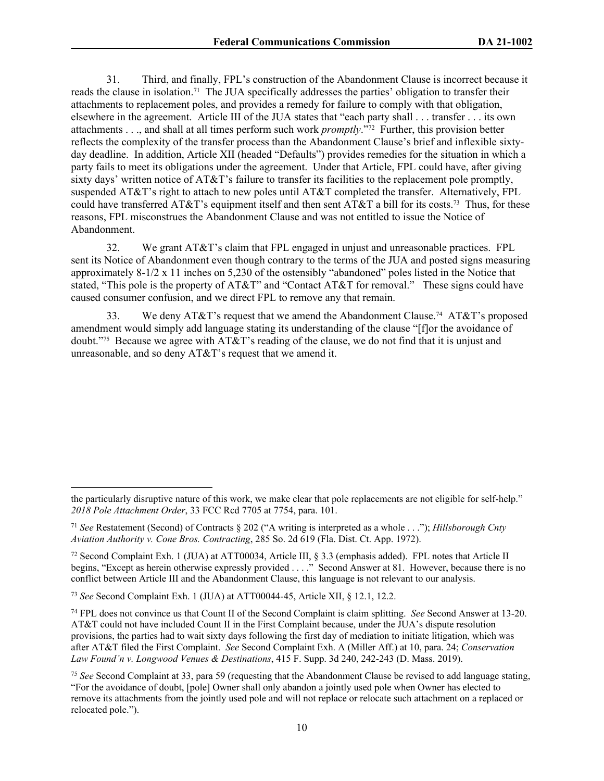31. Third, and finally, FPL's construction of the Abandonment Clause is incorrect because it reads the clause in isolation.71 The JUA specifically addresses the parties' obligation to transfer their attachments to replacement poles, and provides a remedy for failure to comply with that obligation, elsewhere in the agreement. Article III of the JUA states that "each party shall . . . transfer . . . its own attachments . . ., and shall at all times perform such work *promptly*."72 Further, this provision better reflects the complexity of the transfer process than the Abandonment Clause's brief and inflexible sixtyday deadline. In addition, Article XII (headed "Defaults") provides remedies for the situation in which a party fails to meet its obligations under the agreement. Under that Article, FPL could have, after giving sixty days' written notice of AT&T's failure to transfer its facilities to the replacement pole promptly, suspended AT&T's right to attach to new poles until AT&T completed the transfer. Alternatively, FPL could have transferred  $AT&T$ 's equipment itself and then sent  $AT&T$  a bill for its costs.<sup>73</sup> Thus, for these reasons, FPL misconstrues the Abandonment Clause and was not entitled to issue the Notice of Abandonment.

32. We grant AT&T's claim that FPL engaged in unjust and unreasonable practices. FPL sent its Notice of Abandonment even though contrary to the terms of the JUA and posted signs measuring approximately 8-1/2 x 11 inches on 5,230 of the ostensibly "abandoned" poles listed in the Notice that stated, "This pole is the property of AT&T" and "Contact AT&T for removal." These signs could have caused consumer confusion, and we direct FPL to remove any that remain.

33. We deny AT&T's request that we amend the Abandonment Clause.<sup>74</sup> AT&T's proposed amendment would simply add language stating its understanding of the clause "[f]or the avoidance of doubt."75 Because we agree with AT&T's reading of the clause, we do not find that it is unjust and unreasonable, and so deny AT&T's request that we amend it.

<sup>73</sup> *See* Second Complaint Exh. 1 (JUA) at ATT00044-45, Article XII, § 12.1, 12.2.

the particularly disruptive nature of this work, we make clear that pole replacements are not eligible for self-help." *2018 Pole Attachment Order*, 33 FCC Rcd 7705 at 7754, para. 101.

<sup>71</sup> *See* Restatement (Second) of Contracts § 202 ("A writing is interpreted as a whole . . ."); *Hillsborough Cnty Aviation Authority v. Cone Bros. Contracting*, 285 So. 2d 619 (Fla. Dist. Ct. App. 1972).

<sup>72</sup> Second Complaint Exh. 1 (JUA) at ATT00034, Article III, § 3.3 (emphasis added). FPL notes that Article II begins, "Except as herein otherwise expressly provided . . . ." Second Answer at 81. However, because there is no conflict between Article III and the Abandonment Clause, this language is not relevant to our analysis.

<sup>74</sup> FPL does not convince us that Count II of the Second Complaint is claim splitting. *See* Second Answer at 13-20. AT&T could not have included Count II in the First Complaint because, under the JUA's dispute resolution provisions, the parties had to wait sixty days following the first day of mediation to initiate litigation, which was after AT&T filed the First Complaint. *See* Second Complaint Exh. A (Miller Aff.) at 10, para. 24; *Conservation Law Found'n v. Longwood Venues & Destinations*, 415 F. Supp. 3d 240, 242-243 (D. Mass. 2019).

<sup>75</sup> *See* Second Complaint at 33, para 59 (requesting that the Abandonment Clause be revised to add language stating, "For the avoidance of doubt, [pole] Owner shall only abandon a jointly used pole when Owner has elected to remove its attachments from the jointly used pole and will not replace or relocate such attachment on a replaced or relocated pole.").